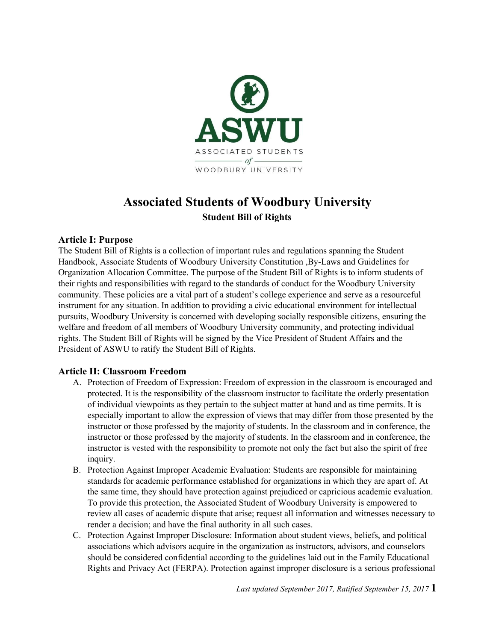

# **Associated Students of Woodbury University Student Bill of Rights**

#### **Article I: Purpose**

The Student Bill of Rights is a collection of important rules and regulations spanning the Student Handbook, Associate Students of Woodbury University Constitution ,By-Laws and Guidelines for Organization Allocation Committee. The purpose of the Student Bill of Rights is to inform students of their rights and responsibilities with regard to the standards of conduct for the Woodbury University community. These policies are a vital part of a student's college experience and serve as a resourceful instrument for any situation. In addition to providing a civic educational environment for intellectual pursuits, Woodbury University is concerned with developing socially responsible citizens, ensuring the welfare and freedom of all members of Woodbury University community, and protecting individual rights. The Student Bill of Rights will be signed by the Vice President of Student Affairs and the President of ASWU to ratify the Student Bill of Rights.

#### **Article II: Classroom Freedom**

- A. Protection of Freedom of Expression: Freedom of expression in the classroom is encouraged and protected. It is the responsibility of the classroom instructor to facilitate the orderly presentation of individual viewpoints as they pertain to the subject matter at hand and as time permits. It is especially important to allow the expression of views that may differ from those presented by the instructor or those professed by the majority of students. In the classroom and in conference, the instructor or those professed by the majority of students. In the classroom and in conference, the instructor is vested with the responsibility to promote not only the fact but also the spirit of free inquiry.
- B. Protection Against Improper Academic Evaluation: Students are responsible for maintaining standards for academic performance established for organizations in which they are apart of. At the same time, they should have protection against prejudiced or capricious academic evaluation. To provide this protection, the Associated Student of Woodbury University is empowered to review all cases of academic dispute that arise; request all information and witnesses necessary to render a decision; and have the final authority in all such cases.
- C. Protection Against Improper Disclosure: Information about student views, beliefs, and political associations which advisors acquire in the organization as instructors, advisors, and counselors should be considered confidential according to the guidelines laid out in the Family Educational Rights and Privacy Act (FERPA). Protection against improper disclosure is a serious professional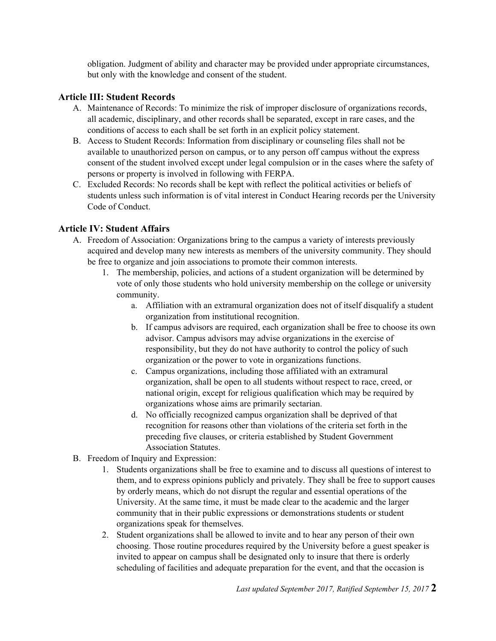obligation. Judgment of ability and character may be provided under appropriate circumstances, but only with the knowledge and consent of the student.

## **Article III: Student Records**

- A. Maintenance of Records: To minimize the risk of improper disclosure of organizations records, all academic, disciplinary, and other records shall be separated, except in rare cases, and the conditions of access to each shall be set forth in an explicit policy statement.
- B. Access to Student Records: Information from disciplinary or counseling files shall not be available to unauthorized person on campus, or to any person off campus without the express consent of the student involved except under legal compulsion or in the cases where the safety of persons or property is involved in following with FERPA.
- C. Excluded Records: No records shall be kept with reflect the political activities or beliefs of students unless such information is of vital interest in Conduct Hearing records per the University Code of Conduct.

## **Article IV: Student Affairs**

- A. Freedom of Association: Organizations bring to the campus a variety of interests previously acquired and develop many new interests as members of the university community. They should be free to organize and join associations to promote their common interests.
	- 1. The membership, policies, and actions of a student organization will be determined by vote of only those students who hold university membership on the college or university community.
		- a. Affiliation with an extramural organization does not of itself disqualify a student organization from institutional recognition.
		- b. If campus advisors are required, each organization shall be free to choose its own advisor. Campus advisors may advise organizations in the exercise of responsibility, but they do not have authority to control the policy of such organization or the power to vote in organizations functions.
		- c. Campus organizations, including those affiliated with an extramural organization, shall be open to all students without respect to race, creed, or national origin, except for religious qualification which may be required by organizations whose aims are primarily sectarian.
		- d. No officially recognized campus organization shall be deprived of that recognition for reasons other than violations of the criteria set forth in the preceding five clauses, or criteria established by Student Government Association Statutes.
- B. Freedom of Inquiry and Expression:
	- 1. Students organizations shall be free to examine and to discuss all questions of interest to them, and to express opinions publicly and privately. They shall be free to support causes by orderly means, which do not disrupt the regular and essential operations of the University. At the same time, it must be made clear to the academic and the larger community that in their public expressions or demonstrations students or student organizations speak for themselves.
	- 2. Student organizations shall be allowed to invite and to hear any person of their own choosing. Those routine procedures required by the University before a guest speaker is invited to appear on campus shall be designated only to insure that there is orderly scheduling of facilities and adequate preparation for the event, and that the occasion is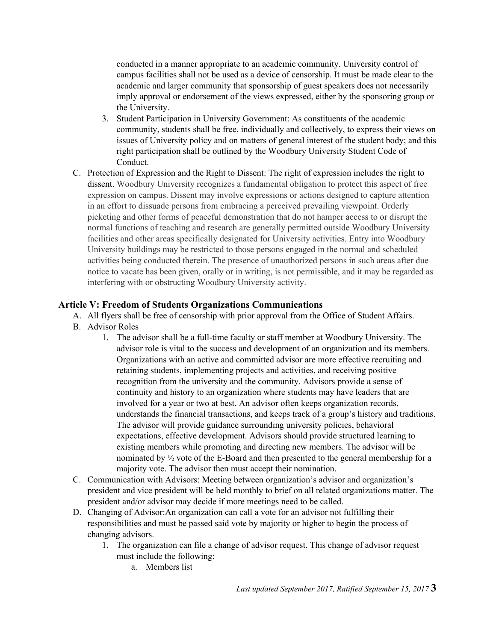conducted in a manner appropriate to an academic community. University control of campus facilities shall not be used as a device of censorship. It must be made clear to the academic and larger community that sponsorship of guest speakers does not necessarily imply approval or endorsement of the views expressed, either by the sponsoring group or the University.

- 3. Student Participation in University Government: As constituents of the academic community, students shall be free, individually and collectively, to express their views on issues of University policy and on matters of general interest of the student body; and this right participation shall be outlined by the Woodbury University Student Code of Conduct.
- C. Protection of Expression and the Right to Dissent: The right of expression includes the right to dissent. Woodbury University recognizes a fundamental obligation to protect this aspect of free expression on campus. Dissent may involve expressions or actions designed to capture attention in an effort to dissuade persons from embracing a perceived prevailing viewpoint. Orderly picketing and other forms of peaceful demonstration that do not hamper access to or disrupt the normal functions of teaching and research are generally permitted outside Woodbury University facilities and other areas specifically designated for University activities. Entry into Woodbury University buildings may be restricted to those persons engaged in the normal and scheduled activities being conducted therein. The presence of unauthorized persons in such areas after due notice to vacate has been given, orally or in writing, is not permissible, and it may be regarded as interfering with or obstructing Woodbury University activity.

## **Article V: Freedom of Students Organizations Communications**

- A. All flyers shall be free of censorship with prior approval from the Office of Student Affairs.
- B. Advisor Roles
	- 1. The advisor shall be a full-time faculty or staff member at Woodbury University. The advisor role is vital to the success and development of an organization and its members. Organizations with an active and committed advisor are more effective recruiting and retaining students, implementing projects and activities, and receiving positive recognition from the university and the community. Advisors provide a sense of continuity and history to an organization where students may have leaders that are involved for a year or two at best. An advisor often keeps organization records, understands the financial transactions, and keeps track of a group's history and traditions. The advisor will provide guidance surrounding university policies, behavioral expectations, effective development. Advisors should provide structured learning to existing members while promoting and directing new members. The advisor will be nominated by ½ vote of the E-Board and then presented to the general membership for a majority vote. The advisor then must accept their nomination.
- C. Communication with Advisors: Meeting between organization's advisor and organization's president and vice president will be held monthly to brief on all related organizations matter. The president and/or advisor may decide if more meetings need to be called.
- D. Changing of Advisor:An organization can call a vote for an advisor not fulfilling their responsibilities and must be passed said vote by majority or higher to begin the process of changing advisors.
	- 1. The organization can file a change of advisor request. This change of advisor request must include the following:
		- a. Members list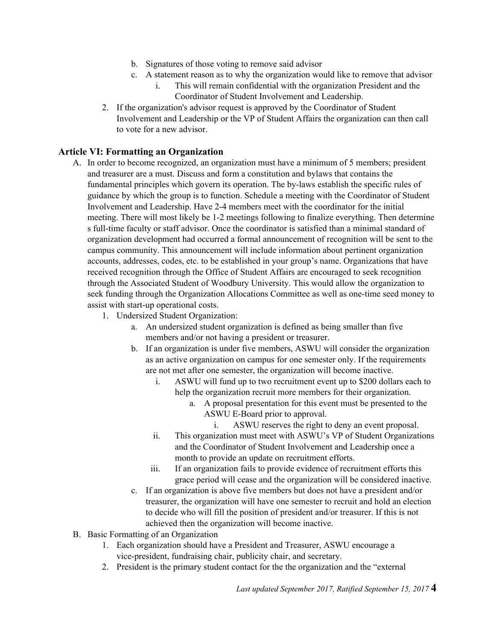- b. Signatures of those voting to remove said advisor
- c. A statement reason as to why the organization would like to remove that advisor
	- i. This will remain confidential with the organization President and the Coordinator of Student Involvement and Leadership.
- 2. If the organization's advisor request is approved by the Coordinator of Student Involvement and Leadership or the VP of Student Affairs the organization can then call to vote for a new advisor.

## **Article VI: Formatting an Organization**

- A. In order to become recognized, an organization must have a minimum of 5 members; president and treasurer are a must. Discuss and form a constitution and bylaws that contains the fundamental principles which govern its operation. The by-laws establish the specific rules of guidance by which the group is to function. Schedule a meeting with the Coordinator of Student Involvement and Leadership. Have 2-4 members meet with the coordinator for the initial meeting. There will most likely be 1-2 meetings following to finalize everything. Then determine s full-time faculty or staff advisor. Once the coordinator is satisfied than a minimal standard of organization development had occurred a formal announcement of recognition will be sent to the campus community. This announcement will include information about pertinent organization accounts, addresses, codes, etc. to be established in your group's name. Organizations that have received recognition through the Office of Student Affairs are encouraged to seek recognition through the Associated Student of Woodbury University. This would allow the organization to seek funding through the Organization Allocations Committee as well as one-time seed money to assist with start-up operational costs.
	- 1. Undersized Student Organization:
		- a. An undersized student organization is defined as being smaller than five members and/or not having a president or treasurer.
		- b. If an organization is under five members, ASWU will consider the organization as an active organization on campus for one semester only. If the requirements are not met after one semester, the organization will become inactive.
			- i. ASWU will fund up to two recruitment event up to \$200 dollars each to help the organization recruit more members for their organization.
				- a. A proposal presentation for this event must be presented to the ASWU E-Board prior to approval.
					- i. ASWU reserves the right to deny an event proposal.
			- ii. This organization must meet with ASWU's VP of Student Organizations and the Coordinator of Student Involvement and Leadership once a month to provide an update on recruitment efforts.
			- iii. If an organization fails to provide evidence of recruitment efforts this grace period will cease and the organization will be considered inactive.
		- c. If an organization is above five members but does not have a president and/or treasurer, the organization will have one semester to recruit and hold an election to decide who will fill the position of president and/or treasurer. If this is not achieved then the organization will become inactive.
- B. Basic Formatting of an Organization
	- 1. Each organization should have a President and Treasurer, ASWU encourage a vice-president, fundraising chair, publicity chair, and secretary.
	- 2. President is the primary student contact for the the organization and the "external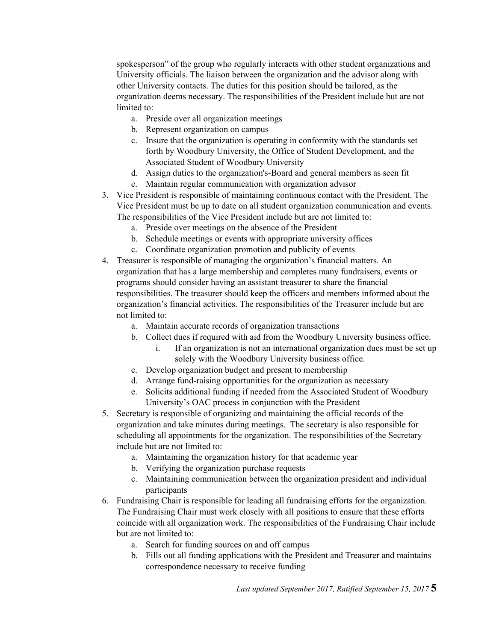spokesperson" of the group who regularly interacts with other student organizations and University officials. The liaison between the organization and the advisor along with other University contacts. The duties for this position should be tailored, as the organization deems necessary. The responsibilities of the President include but are not limited to:

- a. Preside over all organization meetings
- b. Represent organization on campus
- c. Insure that the organization is operating in conformity with the standards set forth by Woodbury University, the Office of Student Development, and the Associated Student of Woodbury University
- d. Assign duties to the organization's-Board and general members as seen fit
- e. Maintain regular communication with organization advisor
- 3. Vice President is responsible of maintaining continuous contact with the President. The Vice President must be up to date on all student organization communication and events. The responsibilities of the Vice President include but are not limited to:
	- a. Preside over meetings on the absence of the President
	- b. Schedule meetings or events with appropriate university offices
	- c. Coordinate organization promotion and publicity of events
- 4. Treasurer is responsible of managing the organization's financial matters. An organization that has a large membership and completes many fundraisers, events or programs should consider having an assistant treasurer to share the financial responsibilities. The treasurer should keep the officers and members informed about the organization's financial activities. The responsibilities of the Treasurer include but are not limited to:
	- a. Maintain accurate records of organization transactions
	- b. Collect dues if required with aid from the Woodbury University business office.
		- i. If an organization is not an international organization dues must be set up solely with the Woodbury University business office.
	- c. Develop organization budget and present to membership
	- d. Arrange fund-raising opportunities for the organization as necessary
	- e. Solicits additional funding if needed from the Associated Student of Woodbury University's OAC process in conjunction with the President
- 5. Secretary is responsible of organizing and maintaining the official records of the organization and take minutes during meetings. The secretary is also responsible for scheduling all appointments for the organization. The responsibilities of the Secretary include but are not limited to:
	- a. Maintaining the organization history for that academic year
	- b. Verifying the organization purchase requests
	- c. Maintaining communication between the organization president and individual participants
- 6. Fundraising Chair is responsible for leading all fundraising efforts for the organization. The Fundraising Chair must work closely with all positions to ensure that these efforts coincide with all organization work. The responsibilities of the Fundraising Chair include but are not limited to:
	- a. Search for funding sources on and off campus
	- b. Fills out all funding applications with the President and Treasurer and maintains correspondence necessary to receive funding